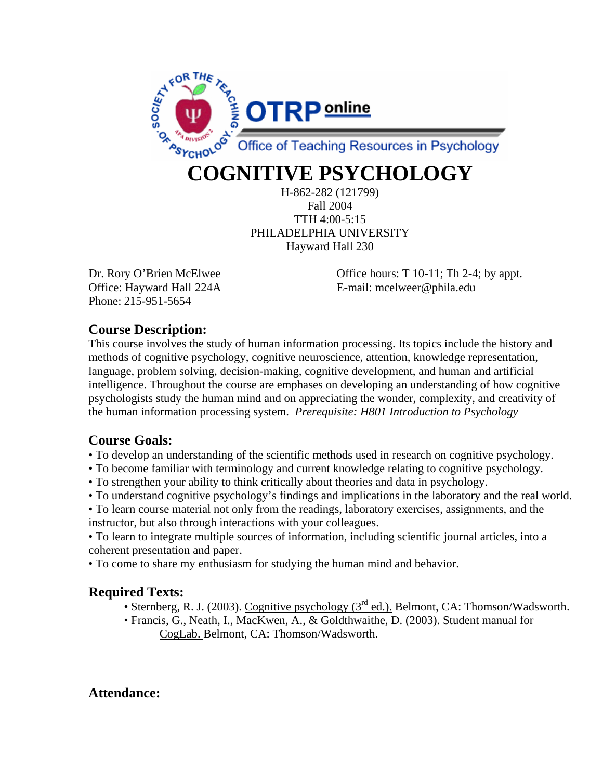

# **COGNITIVE PSYCHOLOGY**

H-862-282 (121799) Fall 2004 TTH 4:00-5:15 PHILADELPHIA UNIVERSITY Hayward Hall 230

Phone: 215-951-5654

Dr. Rory O'Brien McElwee Office hours: T 10-11; Th 2-4; by appt. Office: Hayward Hall 224A E-mail: mcelweer@phila.edu

### **Course Description:**

This course involves the study of human information processing. Its topics include the history and methods of cognitive psychology, cognitive neuroscience, attention, knowledge representation, language, problem solving, decision-making, cognitive development, and human and artificial intelligence. Throughout the course are emphases on developing an understanding of how cognitive psychologists study the human mind and on appreciating the wonder, complexity, and creativity of the human information processing system. *Prerequisite: H801 Introduction to Psychology*

### **Course Goals:**

• To develop an understanding of the scientific methods used in research on cognitive psychology.

- To become familiar with terminology and current knowledge relating to cognitive psychology.
- To strengthen your ability to think critically about theories and data in psychology.
- To understand cognitive psychology's findings and implications in the laboratory and the real world.

• To learn course material not only from the readings, laboratory exercises, assignments, and the instructor, but also through interactions with your colleagues.

• To learn to integrate multiple sources of information, including scientific journal articles, into a coherent presentation and paper.

• To come to share my enthusiasm for studying the human mind and behavior.

### **Required Texts:**

- Sternberg, R. J. (2003). Cognitive psychology ( $3<sup>rd</sup>$  ed.). Belmont, CA: Thomson/Wadsworth.
- Francis, G., Neath, I., MacKwen, A., & Goldthwaithe, D. (2003). Student manual for CogLab. Belmont, CA: Thomson/Wadsworth.

### **Attendance:**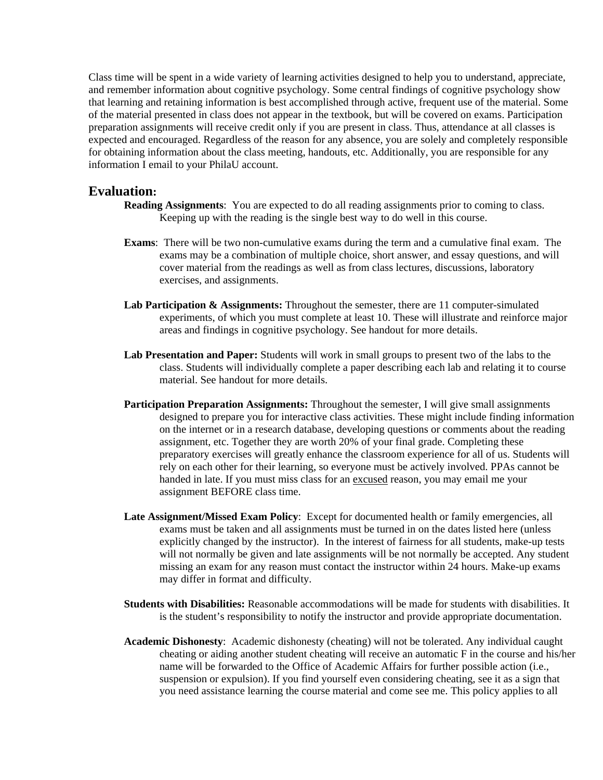Class time will be spent in a wide variety of learning activities designed to help you to understand, appreciate, and remember information about cognitive psychology. Some central findings of cognitive psychology show that learning and retaining information is best accomplished through active, frequent use of the material. Some of the material presented in class does not appear in the textbook, but will be covered on exams. Participation preparation assignments will receive credit only if you are present in class. Thus, attendance at all classes is expected and encouraged. Regardless of the reason for any absence, you are solely and completely responsible for obtaining information about the class meeting, handouts, etc. Additionally, you are responsible for any information I email to your PhilaU account.

### **Evaluation:**

- **Reading Assignments**: You are expected to do all reading assignments prior to coming to class. Keeping up with the reading is the single best way to do well in this course.
- **Exams**: There will be two non-cumulative exams during the term and a cumulative final exam. The exams may be a combination of multiple choice, short answer, and essay questions, and will cover material from the readings as well as from class lectures, discussions, laboratory exercises, and assignments.
- Lab Participation & Assignments: Throughout the semester, there are 11 computer-simulated experiments, of which you must complete at least 10. These will illustrate and reinforce major areas and findings in cognitive psychology. See handout for more details.
- **Lab Presentation and Paper:** Students will work in small groups to present two of the labs to the class. Students will individually complete a paper describing each lab and relating it to course material. See handout for more details.
- **Participation Preparation Assignments:** Throughout the semester, I will give small assignments designed to prepare you for interactive class activities. These might include finding information on the internet or in a research database, developing questions or comments about the reading assignment, etc. Together they are worth 20% of your final grade. Completing these preparatory exercises will greatly enhance the classroom experience for all of us. Students will rely on each other for their learning, so everyone must be actively involved. PPAs cannot be handed in late. If you must miss class for an excused reason, you may email me your assignment BEFORE class time.
- **Late Assignment/Missed Exam Policy**: Except for documented health or family emergencies, all exams must be taken and all assignments must be turned in on the dates listed here (unless explicitly changed by the instructor). In the interest of fairness for all students, make-up tests will not normally be given and late assignments will be not normally be accepted. Any student missing an exam for any reason must contact the instructor within 24 hours. Make-up exams may differ in format and difficulty.
- **Students with Disabilities:** Reasonable accommodations will be made for students with disabilities. It is the student's responsibility to notify the instructor and provide appropriate documentation.
- **Academic Dishonesty**: Academic dishonesty (cheating) will not be tolerated. Any individual caught cheating or aiding another student cheating will receive an automatic F in the course and his/her name will be forwarded to the Office of Academic Affairs for further possible action (i.e., suspension or expulsion). If you find yourself even considering cheating, see it as a sign that you need assistance learning the course material and come see me. This policy applies to all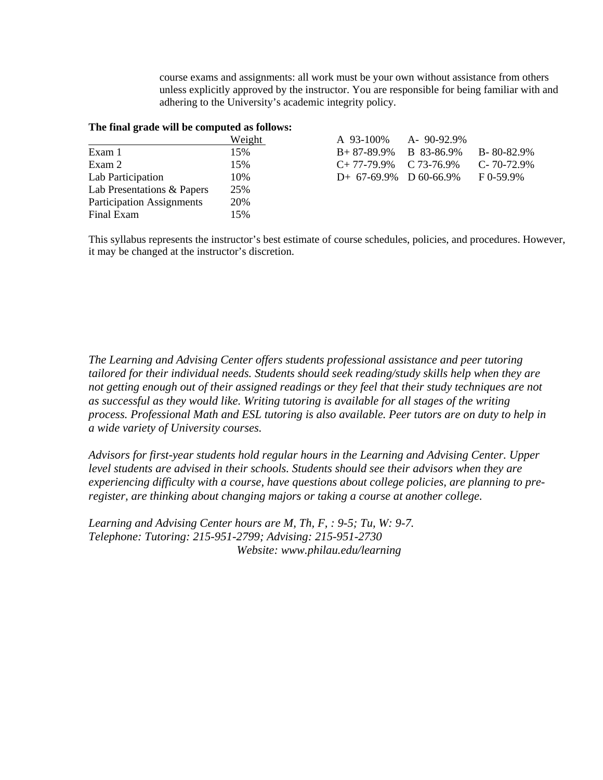course exams and assignments: all work must be your own without assistance from others unless explicitly approved by the instructor. You are responsible for being familiar with and adhering to the University's academic integrity policy.

#### **The final grade will be computed as follows:**

|                                  | Weight | A 93-100%                  | A-90-92.9% |                   |
|----------------------------------|--------|----------------------------|------------|-------------------|
| Exam 1                           | 15%    | $B+87-89.9\%$ B 83-86.9%   |            | $B - 80 - 82.9%$  |
| Exam 2                           | 15%    | $C+77-79.9\%$ $C73-76.9\%$ |            | $C - 70 - 72.9\%$ |
| Lab Participation                | 10%    | $D+ 67-69.9\%$ D 60-66.9%  |            | $F_{0-59.9\%}$    |
| Lab Presentations & Papers       | 25%    |                            |            |                   |
| <b>Participation Assignments</b> | 20%    |                            |            |                   |
| Final Exam                       | 15%    |                            |            |                   |

This syllabus represents the instructor's best estimate of course schedules, policies, and procedures. However, it may be changed at the instructor's discretion.

*The Learning and Advising Center offers students professional assistance and peer tutoring tailored for their individual needs. Students should seek reading/study skills help when they are not getting enough out of their assigned readings or they feel that their study techniques are not as successful as they would like. Writing tutoring is available for all stages of the writing process. Professional Math and ESL tutoring is also available. Peer tutors are on duty to help in a wide variety of University courses.* 

*Advisors for first-year students hold regular hours in the Learning and Advising Center. Upper level students are advised in their schools. Students should see their advisors when they are experiencing difficulty with a course, have questions about college policies, are planning to preregister, are thinking about changing majors or taking a course at another college.* 

*Learning and Advising Center hours are M, Th, F, : 9-5; Tu, W: 9-7. Telephone: Tutoring: 215-951-2799; Advising: 215-951-2730 Website: www.philau.edu/learning*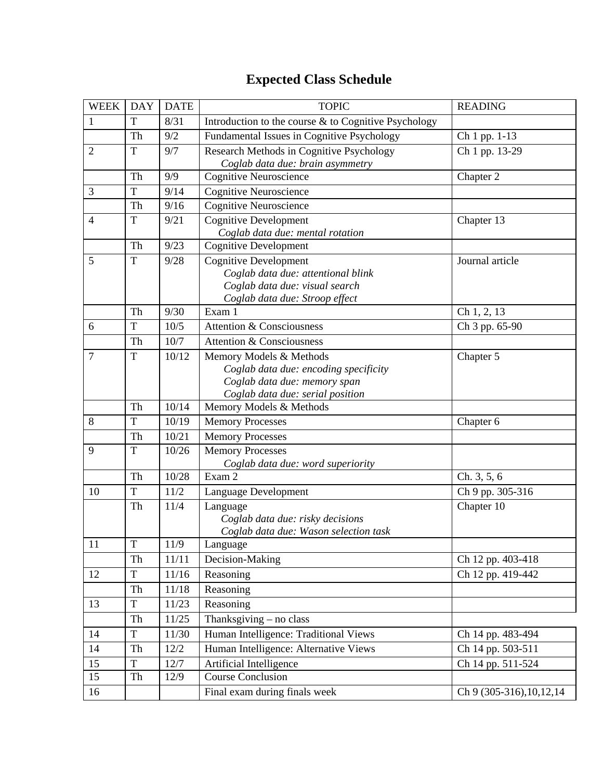## **Expected Class Schedule**

| <b>WEEK</b>    | <b>DAY</b>  | <b>DATE</b> | <b>TOPIC</b>                                                                                                                           | <b>READING</b>             |
|----------------|-------------|-------------|----------------------------------------------------------------------------------------------------------------------------------------|----------------------------|
| $\mathbf{1}$   | T           | 8/31        | Introduction to the course & to Cognitive Psychology                                                                                   |                            |
|                | Th          | 9/2         | Fundamental Issues in Cognitive Psychology                                                                                             | Ch 1 pp. 1-13              |
| $\overline{2}$ | T           | 9/7         | Research Methods in Cognitive Psychology<br>Coglab data due: brain asymmetry                                                           | Ch 1 pp. 13-29             |
|                | Th          | 9/9         | <b>Cognitive Neuroscience</b>                                                                                                          | Chapter 2                  |
| 3              | $\mathbf T$ | 9/14        | <b>Cognitive Neuroscience</b>                                                                                                          |                            |
|                | Th          | 9/16        | <b>Cognitive Neuroscience</b>                                                                                                          |                            |
| $\overline{4}$ | T           | 9/21        | <b>Cognitive Development</b><br>Coglab data due: mental rotation                                                                       | Chapter 13                 |
|                | Th          | 9/23        | <b>Cognitive Development</b>                                                                                                           |                            |
| 5              | $\mathbf T$ | 9/28        | <b>Cognitive Development</b><br>Coglab data due: attentional blink<br>Coglab data due: visual search<br>Coglab data due: Stroop effect | Journal article            |
|                | Th          | 9/30        | Exam 1                                                                                                                                 | Ch 1, 2, 13                |
| 6              | T           | 10/5        | <b>Attention &amp; Consciousness</b>                                                                                                   | Ch 3 pp. 65-90             |
|                | Th          | 10/7        | <b>Attention &amp; Consciousness</b>                                                                                                   |                            |
| $\overline{7}$ | $\mathbf T$ | 10/12       | Memory Models & Methods<br>Coglab data due: encoding specificity<br>Coglab data due: memory span<br>Coglab data due: serial position   | Chapter 5                  |
|                | Th          | 10/14       | Memory Models & Methods                                                                                                                |                            |
| 8              | T           | 10/19       | <b>Memory Processes</b>                                                                                                                | Chapter 6                  |
|                | Th          | 10/21       | <b>Memory Processes</b>                                                                                                                |                            |
| 9              | $\mathbf T$ | 10/26       | <b>Memory Processes</b><br>Coglab data due: word superiority                                                                           |                            |
|                | Th          | 10/28       | Exam 2                                                                                                                                 | Ch. 3, 5, 6                |
| 10             | $\mathbf T$ | 11/2        | Language Development                                                                                                                   | Ch 9 pp. 305-316           |
|                | Th          | 11/4        | Language<br>Coglab data due: risky decisions<br>Coglab data due: Wason selection task                                                  | Chapter 10                 |
| 11             | $\mathbf T$ | 11/9        | Language                                                                                                                               |                            |
|                | Th          | 11/11       | Decision-Making                                                                                                                        | Ch 12 pp. 403-418          |
| 12             | $\mathbf T$ | $11/16$     | Reasoning                                                                                                                              | Ch 12 pp. 419-442          |
|                | Th          | 11/18       | Reasoning                                                                                                                              |                            |
| 13             | $\mathbf T$ | 11/23       | Reasoning                                                                                                                              |                            |
|                | Th          | 11/25       | Thanksgiving - no class                                                                                                                |                            |
| 14             | $\mathbf T$ | 11/30       | Human Intelligence: Traditional Views                                                                                                  | Ch 14 pp. 483-494          |
| 14             | Th          | 12/2        | Human Intelligence: Alternative Views                                                                                                  | Ch 14 pp. 503-511          |
| 15             | $\mathbf T$ | 12/7        | Artificial Intelligence                                                                                                                | Ch 14 pp. 511-524          |
| 15             | Th          | 12/9        | <b>Course Conclusion</b>                                                                                                               |                            |
| 16             |             |             | Final exam during finals week                                                                                                          | Ch 9 (305-316), 10, 12, 14 |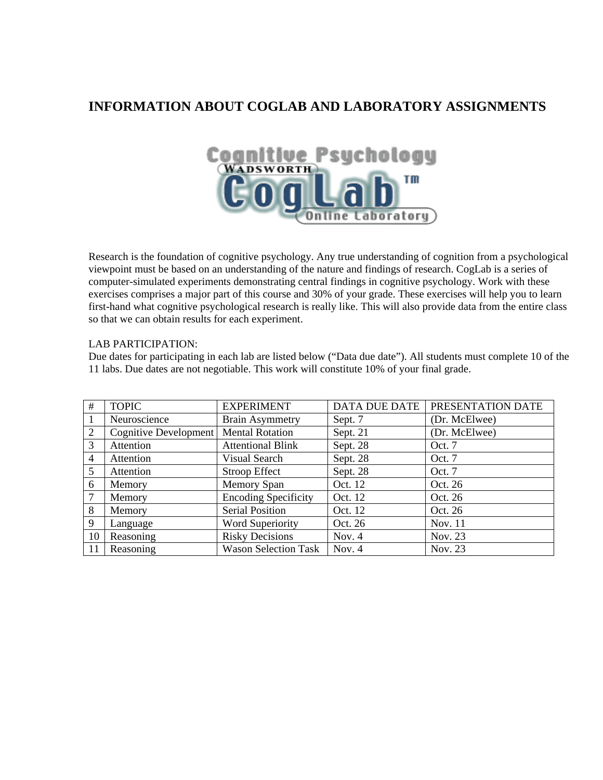### **INFORMATION ABOUT COGLAB AND LABORATORY ASSIGNMENTS**



Research is the foundation of cognitive psychology. Any true understanding of cognition from a psychological viewpoint must be based on an understanding of the nature and findings of research. CogLab is a series of computer-simulated experiments demonstrating central findings in cognitive psychology. Work with these exercises comprises a major part of this course and 30% of your grade. These exercises will help you to learn first-hand what cognitive psychological research is really like. This will also provide data from the entire class so that we can obtain results for each experiment.

#### LAB PARTICIPATION:

Due dates for participating in each lab are listed below ("Data due date"). All students must complete 10 of the 11 labs. Due dates are not negotiable. This work will constitute 10% of your final grade.

| #              | <b>TOPIC</b>          | <b>EXPERIMENT</b>           | <b>DATA DUE DATE</b> | PRESENTATION DATE |
|----------------|-----------------------|-----------------------------|----------------------|-------------------|
|                | Neuroscience          | <b>Brain Asymmetry</b>      | Sept. 7              | (Dr. McElwee)     |
| 2              | Cognitive Development | <b>Mental Rotation</b>      | Sept. 21             | (Dr. McElwee)     |
| 3              | Attention             | <b>Attentional Blink</b>    | Sept. 28             | Oct. 7            |
| $\overline{4}$ | Attention             | Visual Search               | Sept. 28             | Oct. 7            |
| 5              | Attention             | Stroop Effect               | Sept. 28             | Oct. 7            |
| 6              | Memory                | <b>Memory Span</b>          | Oct. 12              | Oct. 26           |
| 7              | Memory                | <b>Encoding Specificity</b> | Oct. 12              | Oct. 26           |
| 8              | Memory                | <b>Serial Position</b>      | Oct. 12              | Oct. 26           |
| 9              | Language              | Word Superiority            | Oct. 26              | Nov. 11           |
| 10             | Reasoning             | <b>Risky Decisions</b>      | Nov. 4               | Nov. 23           |
| 11             | Reasoning             | <b>Wason Selection Task</b> | Nov. $4$             | Nov. 23           |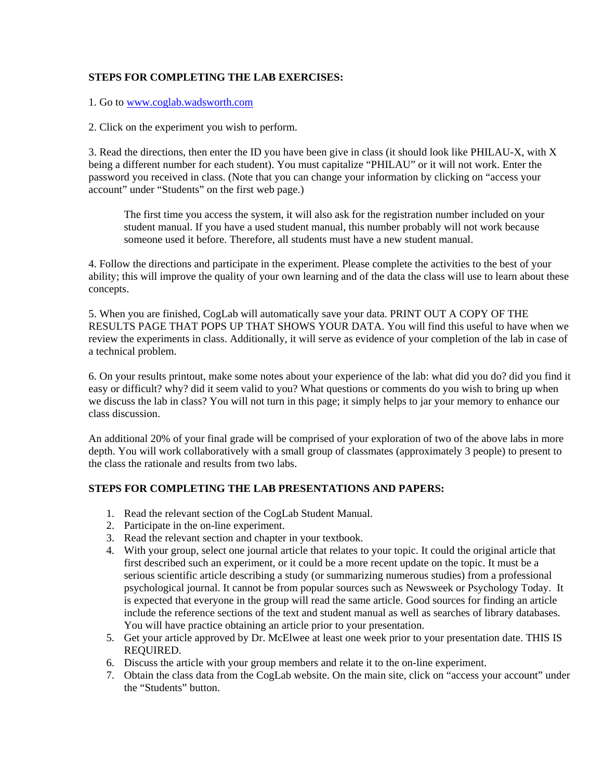### **STEPS FOR COMPLETING THE LAB EXERCISES:**

1. Go to www.coglab.wadsworth.com

2. Click on the experiment you wish to perform.

3. Read the directions, then enter the ID you have been give in class (it should look like PHILAU-X, with X being a different number for each student). You must capitalize "PHILAU" or it will not work. Enter the password you received in class. (Note that you can change your information by clicking on "access your account" under "Students" on the first web page.)

The first time you access the system, it will also ask for the registration number included on your student manual. If you have a used student manual, this number probably will not work because someone used it before. Therefore, all students must have a new student manual.

4. Follow the directions and participate in the experiment. Please complete the activities to the best of your ability; this will improve the quality of your own learning and of the data the class will use to learn about these concepts.

5. When you are finished, CogLab will automatically save your data. PRINT OUT A COPY OF THE RESULTS PAGE THAT POPS UP THAT SHOWS YOUR DATA. You will find this useful to have when we review the experiments in class. Additionally, it will serve as evidence of your completion of the lab in case of a technical problem.

6. On your results printout, make some notes about your experience of the lab: what did you do? did you find it easy or difficult? why? did it seem valid to you? What questions or comments do you wish to bring up when we discuss the lab in class? You will not turn in this page; it simply helps to jar your memory to enhance our class discussion.

An additional 20% of your final grade will be comprised of your exploration of two of the above labs in more depth. You will work collaboratively with a small group of classmates (approximately 3 people) to present to the class the rationale and results from two labs.

#### **STEPS FOR COMPLETING THE LAB PRESENTATIONS AND PAPERS:**

- 1. Read the relevant section of the CogLab Student Manual.
- 2. Participate in the on-line experiment.
- 3. Read the relevant section and chapter in your textbook.
- 4. With your group, select one journal article that relates to your topic. It could the original article that first described such an experiment, or it could be a more recent update on the topic. It must be a serious scientific article describing a study (or summarizing numerous studies) from a professional psychological journal. It cannot be from popular sources such as Newsweek or Psychology Today. It is expected that everyone in the group will read the same article. Good sources for finding an article include the reference sections of the text and student manual as well as searches of library databases. You will have practice obtaining an article prior to your presentation.
- 5. Get your article approved by Dr. McElwee at least one week prior to your presentation date. THIS IS REQUIRED.
- 6. Discuss the article with your group members and relate it to the on-line experiment.
- 7. Obtain the class data from the CogLab website. On the main site, click on "access your account" under the "Students" button.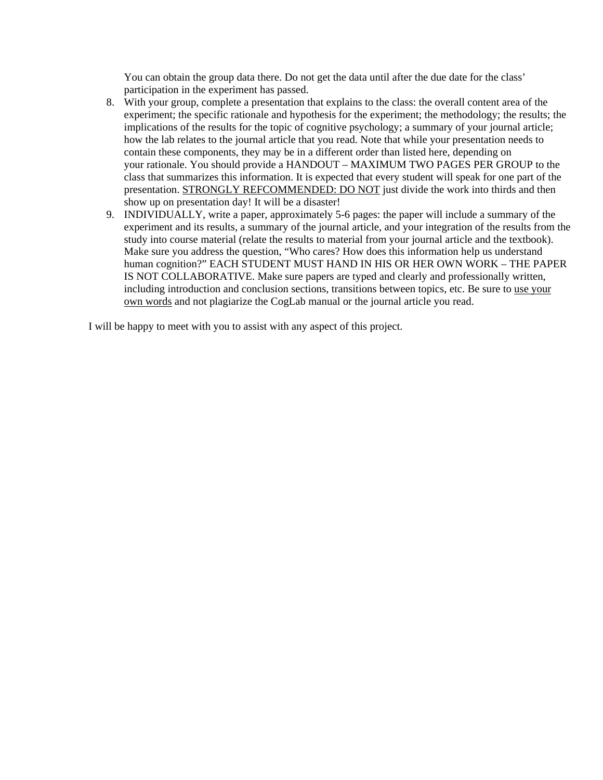You can obtain the group data there. Do not get the data until after the due date for the class' participation in the experiment has passed.

- 8. With your group, complete a presentation that explains to the class: the overall content area of the experiment; the specific rationale and hypothesis for the experiment; the methodology; the results; the implications of the results for the topic of cognitive psychology; a summary of your journal article; how the lab relates to the journal article that you read. Note that while your presentation needs to contain these components, they may be in a different order than listed here, depending on your rationale. You should provide a HANDOUT – MAXIMUM TWO PAGES PER GROUP to the class that summarizes this information. It is expected that every student will speak for one part of the presentation. STRONGLY REFCOMMENDED: DO NOT just divide the work into thirds and then show up on presentation day! It will be a disaster!
- 9. INDIVIDUALLY, write a paper, approximately 5-6 pages: the paper will include a summary of the experiment and its results, a summary of the journal article, and your integration of the results from the study into course material (relate the results to material from your journal article and the textbook). Make sure you address the question, "Who cares? How does this information help us understand human cognition?" EACH STUDENT MUST HAND IN HIS OR HER OWN WORK – THE PAPER IS NOT COLLABORATIVE. Make sure papers are typed and clearly and professionally written, including introduction and conclusion sections, transitions between topics, etc. Be sure to use your own words and not plagiarize the CogLab manual or the journal article you read.

I will be happy to meet with you to assist with any aspect of this project.